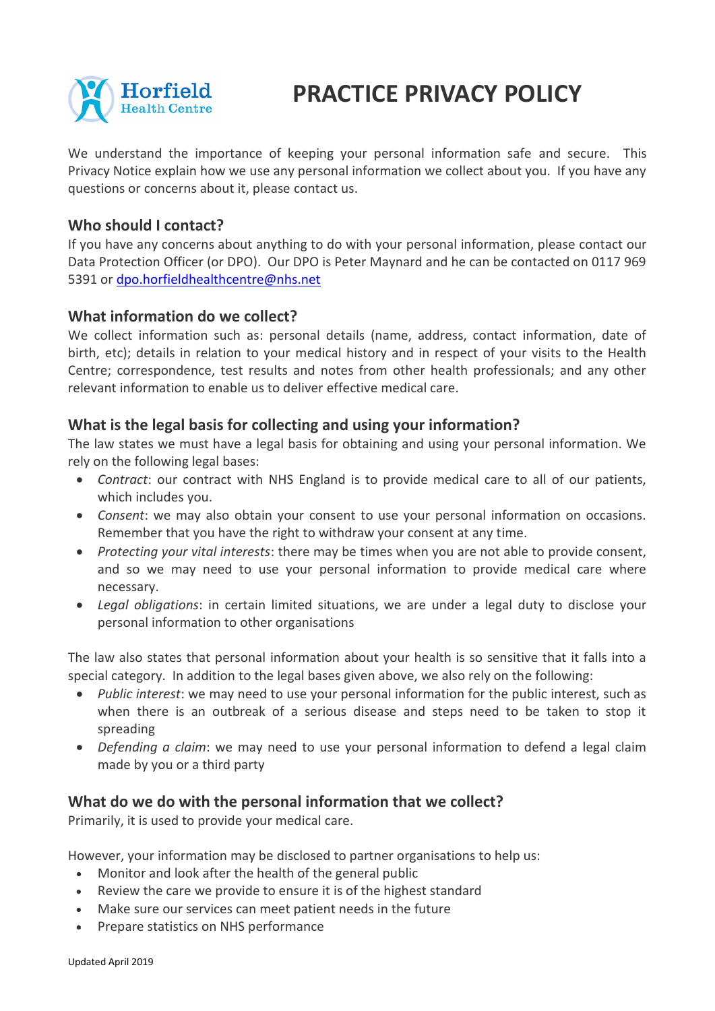

# **PRACTICE PRIVACY POLICY**

We understand the importance of keeping your personal information safe and secure. This Privacy Notice explain how we use any personal information we collect about you. If you have any questions or concerns about it, please contact us.

## **Who should I contact?**

If you have any concerns about anything to do with your personal information, please contact our Data Protection Officer (or DPO). Our DPO is Peter Maynard and he can be contacted on 0117 969 5391 or [dpo.horfieldhealthcentre@nhs.net](mailto:dpo.horfieldhealthcentre@nhs.net)

#### **What information do we collect?**

We collect information such as: personal details (name, address, contact information, date of birth, etc); details in relation to your medical history and in respect of your visits to the Health Centre; correspondence, test results and notes from other health professionals; and any other relevant information to enable us to deliver effective medical care.

### **What is the legal basis for collecting and using your information?**

The law states we must have a legal basis for obtaining and using your personal information. We rely on the following legal bases:

- *Contract*: our contract with NHS England is to provide medical care to all of our patients, which includes you.
- *Consent*: we may also obtain your consent to use your personal information on occasions. Remember that you have the right to withdraw your consent at any time.
- *Protecting your vital interests*: there may be times when you are not able to provide consent, and so we may need to use your personal information to provide medical care where necessary.
- *Legal obligations*: in certain limited situations, we are under a legal duty to disclose your personal information to other organisations

The law also states that personal information about your health is so sensitive that it falls into a special category. In addition to the legal bases given above, we also rely on the following:

- *Public interest*: we may need to use your personal information for the public interest, such as when there is an outbreak of a serious disease and steps need to be taken to stop it spreading
- *Defending a claim*: we may need to use your personal information to defend a legal claim made by you or a third party

#### **What do we do with the personal information that we collect?**

Primarily, it is used to provide your medical care.

However, your information may be disclosed to partner organisations to help us:

- Monitor and look after the health of the general public
- Review the care we provide to ensure it is of the highest standard
- Make sure our services can meet patient needs in the future
- Prepare statistics on NHS performance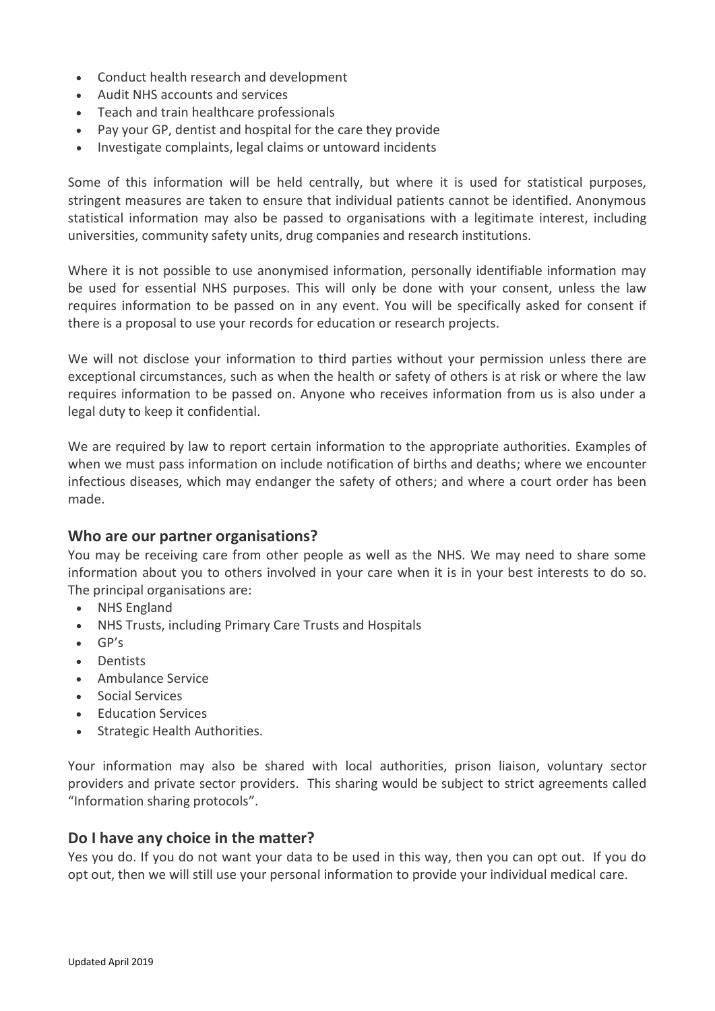- Conduct health research and development
- Audit NHS accounts and services
- Teach and train healthcare professionals
- Pay your GP, dentist and hospital for the care they provide
- Investigate complaints, legal claims or untoward incidents

Some of this information will be held centrally, but where it is used for statistical purposes, stringent measures are taken to ensure that individual patients cannot be identified. Anonymous statistical information may also be passed to organisations with a legitimate interest, including universities, community safety units, drug companies and research institutions.

Where it is not possible to use anonymised information, personally identifiable information may be used for essential NHS purposes. This will only be done with your consent, unless the law requires information to be passed on in any event. You will be specifically asked for consent if there is a proposal to use your records for education or research projects.

We will not disclose your information to third parties without your permission unless there are exceptional circumstances, such as when the health or safety of others is at risk or where the law requires information to be passed on. Anyone who receives information from us is also under a legal duty to keep it confidential.

We are required by law to report certain information to the appropriate authorities. Examples of when we must pass information on include notification of births and deaths; where we encounter infectious diseases, which may endanger the safety of others; and where a court order has been made.

#### **Who are our partner organisations?**

You may be receiving care from other people as well as the NHS. We may need to share some information about you to others involved in your care when it is in your best interests to do so. The principal organisations are:

- NHS England
- NHS Trusts, including Primary Care Trusts and Hospitals
- GP's
- Dentists
- Ambulance Service
- Social Services
- Education Services
- Strategic Health Authorities.

Your information may also be shared with local authorities, prison liaison, voluntary sector providers and private sector providers. This sharing would be subject to strict agreements called "Information sharing protocols".

#### **Do I have any choice in the matter?**

Yes you do. If you do not want your data to be used in this way, then you can opt out. If you do opt out, then we will still use your personal information to provide your individual medical care.